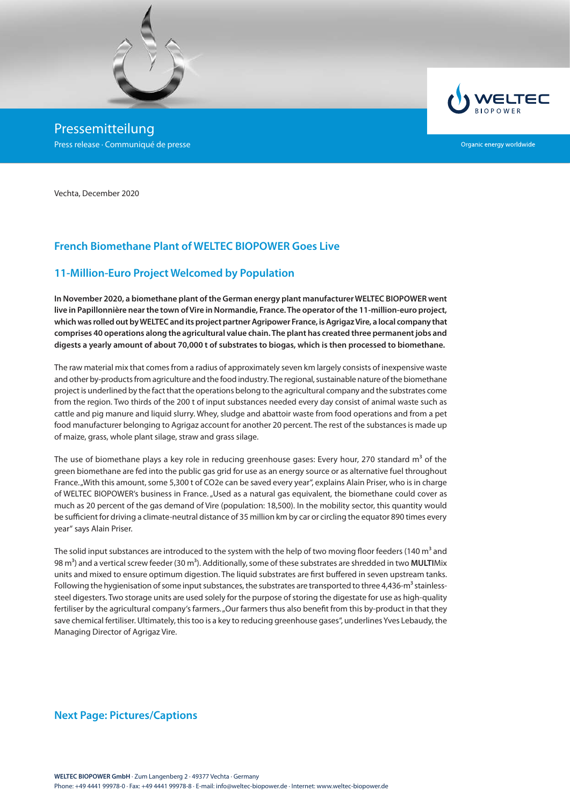

Pressemitteilung Press release · Communiqué de presse



Organic energy worldwide

Vechta, December 2020

# **French Biomethane Plant of WELTEC BIOPOWER Goes Live**

### **11-Million-Euro Project Welcomed by Population**

**In November 2020, a biomethane plant of the German energy plant manufacturer WELTEC BIOPOWER went live in Papillonnière near the town of Vire in Normandie, France. The operator of the 11-million-euro project, which was rolled out by WELTEC and its project partner Agripower France, is Agrigaz Vire, a local company that comprises 40 operations along the agricultural value chain. The plant has created three permanent jobs and digests a yearly amount of about 70,000 t of substrates to biogas, which is then processed to biomethane.** 

The raw material mix that comes from a radius of approximately seven km largely consists of inexpensive waste and other by-products from agriculture and the food industry. The regional, sustainable nature of the biomethane project is underlined by the fact that the operations belong to the agricultural company and the substrates come from the region. Two thirds of the 200 t of input substances needed every day consist of animal waste such as cattle and pig manure and liquid slurry. Whey, sludge and abattoir waste from food operations and from a pet food manufacturer belonging to Agrigaz account for another 20 percent. The rest of the substances is made up of maize, grass, whole plant silage, straw and grass silage.

The use of biomethane plays a key role in reducing greenhouse gases: Every hour, 270 standard  $m<sup>3</sup>$  of the green biomethane are fed into the public gas grid for use as an energy source or as alternative fuel throughout France. "With this amount, some 5,300 t of CO2e can be saved every year", explains Alain Priser, who is in charge of WELTEC BIOPOWER's business in France. "Used as a natural gas equivalent, the biomethane could cover as much as 20 percent of the gas demand of Vire (population: 18,500). In the mobility sector, this quantity would be sufficient for driving a climate-neutral distance of 35 million km by car or circling the equator 890 times every year" says Alain Priser.

The solid input substances are introduced to the system with the help of two moving floor feeders (140  $m<sup>3</sup>$  and 98 m<sup>3</sup>) and a vertical screw feeder (30 m<sup>3</sup>). Additionally, some of these substrates are shredded in two MULTIMix units and mixed to ensure optimum digestion. The liquid substrates are first buffered in seven upstream tanks. Following the hygienisation of some input substances, the substrates are transported to three 4,436-m<sup>3</sup> stainlesssteel digesters. Two storage units are used solely for the purpose of storing the digestate for use as high-quality fertiliser by the agricultural company's farmers. "Our farmers thus also benefit from this by-product in that they save chemical fertiliser. Ultimately, this too is a key to reducing greenhouse gases", underlines Yves Lebaudy, the Managing Director of Agrigaz Vire.

### **Next Page: Pictures/Captions**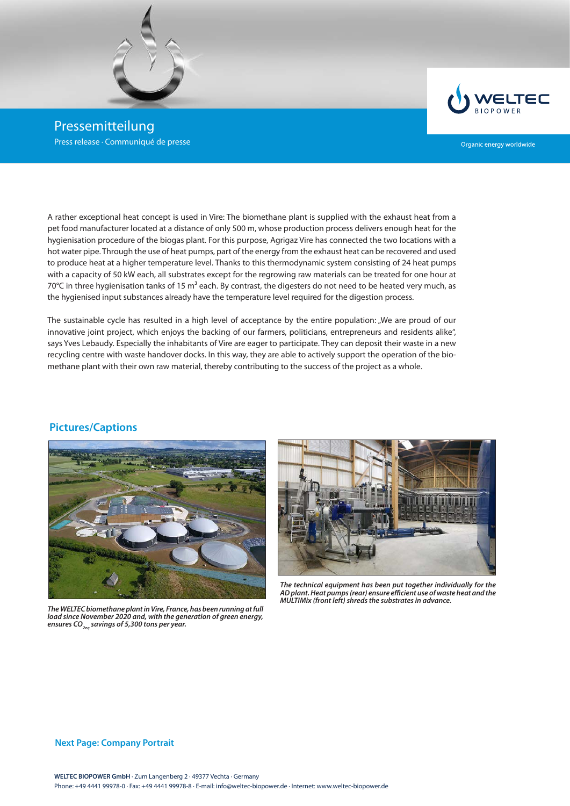

Pressemitteilung Press release · Communiqué de presse



Organic energy worldwide

A rather exceptional heat concept is used in Vire: The biomethane plant is supplied with the exhaust heat from a pet food manufacturer located at a distance of only 500 m, whose production process delivers enough heat for the hygienisation procedure of the biogas plant. For this purpose, Agrigaz Vire has connected the two locations with a hot water pipe. Through the use of heat pumps, part of the energy from the exhaust heat can be recovered and used to produce heat at a higher temperature level. Thanks to this thermodynamic system consisting of 24 heat pumps with a capacity of 50 kW each, all substrates except for the regrowing raw materials can be treated for one hour at 70 $^{\circ}$ C in three hygienisation tanks of 15 m<sup>3</sup> each. By contrast, the digesters do not need to be heated very much, as the hygienised input substances already have the temperature level required for the digestion process.

The sustainable cycle has resulted in a high level of acceptance by the entire population: "We are proud of our innovative joint project, which enjoys the backing of our farmers, politicians, entrepreneurs and residents alike", says Yves Lebaudy. Especially the inhabitants of Vire are eager to participate. They can deposit their waste in a new recycling centre with waste handover docks. In this way, they are able to actively support the operation of the biomethane plant with their own raw material, thereby contributing to the success of the project as a whole.

### **Pictures/Captions**



*The WELTEC biomethane plant in Vire, France, has been running at full load since November 2020 and, with the generation of green energy, ensures CO2eq savings of 5,300 tons per year.*



*The technical equipment has been put together individually for the AD plant. Heat pumps (rear) ensure efficient use of waste heat and the MULTIMix (front left) shreds the substrates in advance.*

#### **Next Page: Company Portrait**